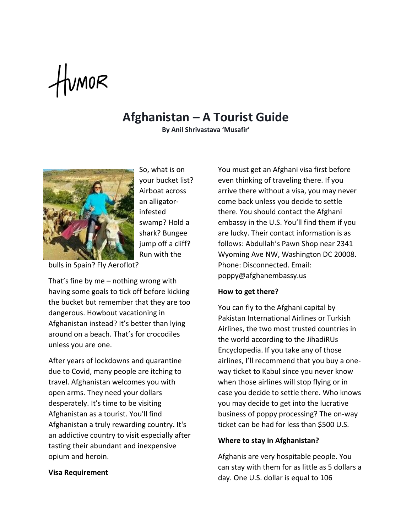# $t$ umor

## **Afghanistan – A Tourist Guide**

**By Anil Shrivastava 'Musafir'**



So, what is on your bucket list? Airboat across an alligatorinfested swamp? Hold a shark? Bungee jump off a cliff? Run with the

bulls in Spain? Fly Aeroflot?

That's fine by me – nothing wrong with having some goals to tick off before kicking the bucket but remember that they are too dangerous. Howbout vacationing in Afghanistan instead? It's better than lying around on a beach. That's for crocodiles unless you are one.

After years of lockdowns and quarantine due to Covid, many people are itching to travel. Afghanistan welcomes you with open arms. They need your dollars desperately. It's time to be visiting Afghanistan as a tourist. You'll find Afghanistan a truly rewarding country. It's an addictive country to visit especially after tasting their abundant and inexpensive opium and heroin.

### **Visa Requirement**

You must get an Afghani visa first before even thinking of traveling there. If you arrive there without a visa, you may never come back unless you decide to settle there. You should contact the Afghani embassy in the U.S. You'll find them if you are lucky. Their contact information is as follows: Abdullah's Pawn Shop near 2341 Wyoming Ave NW, Washington DC 20008. Phone: Disconnected. Email: poppy@afghanembassy.us

### **How to get there?**

You can fly to the Afghani capital by Pakistan International Airlines or Turkish Airlines, the two most trusted countries in the world according to the JihadiRUs Encyclopedia. If you take any of those airlines, I'll recommend that you buy a oneway ticket to Kabul since you never know when those airlines will stop flying or in case you decide to settle there. Who knows you may decide to get into the lucrative business of poppy processing? The on-way ticket can be had for less than \$500 U.S.

### **Where to stay in Afghanistan?**

Afghanis are very hospitable people. You can stay with them for as little as 5 dollars a day. One U.S. dollar is equal to 106